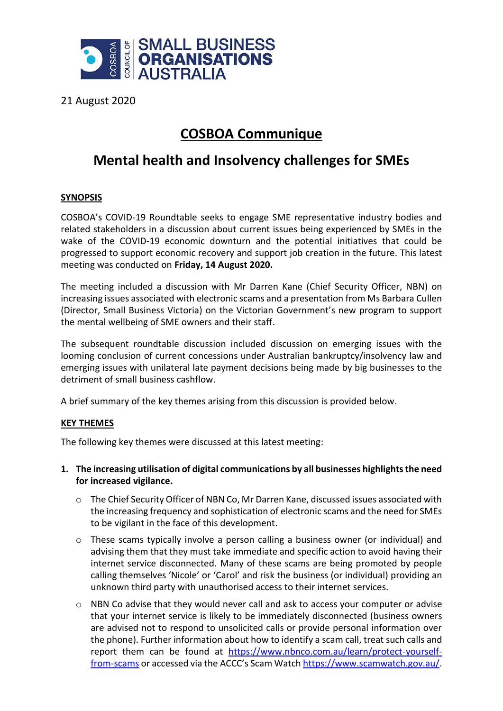

21 August 2020

## **COSBOA Communique**

# **Mental health and Insolvency challenges for SMEs**

### **SYNOPSIS**

COSBOA's COVID-19 Roundtable seeks to engage SME representative industry bodies and related stakeholders in a discussion about current issues being experienced by SMEs in the wake of the COVID-19 economic downturn and the potential initiatives that could be progressed to support economic recovery and support job creation in the future. This latest meeting was conducted on **Friday, 14 August 2020.**

The meeting included a discussion with Mr Darren Kane (Chief Security Officer, NBN) on increasing issues associated with electronic scams and a presentation from Ms Barbara Cullen (Director, Small Business Victoria) on the Victorian Government's new program to support the mental wellbeing of SME owners and their staff.

The subsequent roundtable discussion included discussion on emerging issues with the looming conclusion of current concessions under Australian bankruptcy/insolvency law and emerging issues with unilateral late payment decisions being made by big businesses to the detriment of small business cashflow.

A brief summary of the key themes arising from this discussion is provided below.

### **KEY THEMES**

The following key themes were discussed at this latest meeting:

#### **1. The increasing utilisation of digital communications by all businesses highlights the need for increased vigilance.**

- o The Chief Security Officer of NBN Co, Mr Darren Kane, discussed issues associated with the increasing frequency and sophistication of electronic scams and the need for SMEs to be vigilant in the face of this development.
- o These scams typically involve a person calling a business owner (or individual) and advising them that they must take immediate and specific action to avoid having their internet service disconnected. Many of these scams are being promoted by people calling themselves 'Nicole' or 'Carol' and risk the business (or individual) providing an unknown third party with unauthorised access to their internet services.
- o NBN Co advise that they would never call and ask to access your computer or advise that your internet service is likely to be immediately disconnected (business owners are advised not to respond to unsolicited calls or provide personal information over the phone). Further information about how to identify a scam call, treat such calls and report them can be found at [https://www.nbnco.com.au/learn/protect-yourself](https://www.nbnco.com.au/learn/protect-yourself-from-scams)[from-scams](https://www.nbnco.com.au/learn/protect-yourself-from-scams) or accessed via the ACCC's Scam Watch [https://www.scamwatch.gov.au/.](https://www.scamwatch.gov.au/)